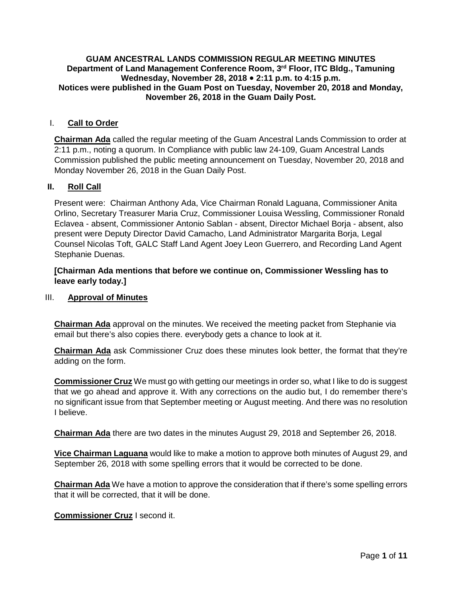#### **GUAM ANCESTRAL LANDS COMMISSION REGULAR MEETING MINUTES Department of Land Management Conference Room, 3rd Floor, ITC Bldg., Tamuning Wednesday, November 28, 2018 2:11 p.m. to 4:15 p.m. Notices were published in the Guam Post on Tuesday, November 20, 2018 and Monday, November 26, 2018 in the Guam Daily Post.**

## I. **Call to Order**

**Chairman Ada** called the regular meeting of the Guam Ancestral Lands Commission to order at 2:11 p.m., noting a quorum. In Compliance with public law 24-109, Guam Ancestral Lands Commission published the public meeting announcement on Tuesday, November 20, 2018 and Monday November 26, 2018 in the Guan Daily Post.

## **II. Roll Call**

Present were: Chairman Anthony Ada, Vice Chairman Ronald Laguana, Commissioner Anita Orlino, Secretary Treasurer Maria Cruz, Commissioner Louisa Wessling, Commissioner Ronald Eclavea - absent, Commissioner Antonio Sablan - absent, Director Michael Borja - absent, also present were Deputy Director David Camacho, Land Administrator Margarita Borja, Legal Counsel Nicolas Toft, GALC Staff Land Agent Joey Leon Guerrero, and Recording Land Agent Stephanie Duenas.

## **[Chairman Ada mentions that before we continue on, Commissioner Wessling has to leave early today.]**

#### III. **Approval of Minutes**

**Chairman Ada** approval on the minutes. We received the meeting packet from Stephanie via email but there's also copies there. everybody gets a chance to look at it.

**Chairman Ada** ask Commissioner Cruz does these minutes look better, the format that they're adding on the form.

**Commissioner Cruz** We must go with getting our meetings in order so, what I like to do is suggest that we go ahead and approve it. With any corrections on the audio but, I do remember there's no significant issue from that September meeting or August meeting. And there was no resolution I believe.

**Chairman Ada** there are two dates in the minutes August 29, 2018 and September 26, 2018.

**Vice Chairman Laguana** would like to make a motion to approve both minutes of August 29, and September 26, 2018 with some spelling errors that it would be corrected to be done.

**Chairman Ada** We have a motion to approve the consideration that if there's some spelling errors that it will be corrected, that it will be done.

**Commissioner Cruz** I second it.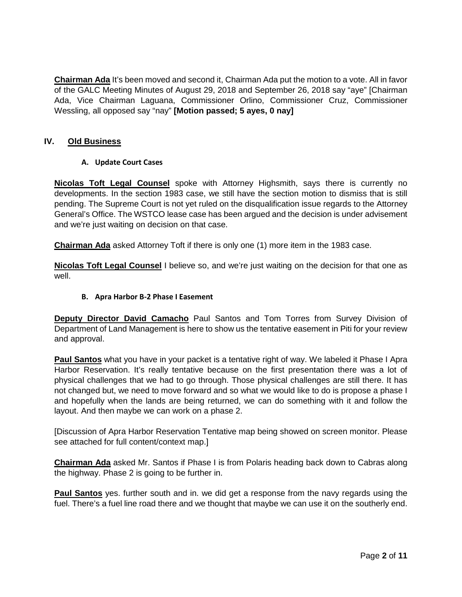**Chairman Ada** It's been moved and second it, Chairman Ada put the motion to a vote. All in favor of the GALC Meeting Minutes of August 29, 2018 and September 26, 2018 say "aye" [Chairman Ada, Vice Chairman Laguana, Commissioner Orlino, Commissioner Cruz, Commissioner Wessling, all opposed say "nay" **[Motion passed; 5 ayes, 0 nay]**

## **IV. Old Business**

#### **A. Update Court Cases**

**Nicolas Toft Legal Counsel** spoke with Attorney Highsmith, says there is currently no developments. In the section 1983 case, we still have the section motion to dismiss that is still pending. The Supreme Court is not yet ruled on the disqualification issue regards to the Attorney General's Office. The WSTCO lease case has been argued and the decision is under advisement and we're just waiting on decision on that case.

**Chairman Ada** asked Attorney Toft if there is only one (1) more item in the 1983 case.

**Nicolas Toft Legal Counsel** I believe so, and we're just waiting on the decision for that one as well.

#### **B. Apra Harbor B-2 Phase I Easement**

**Deputy Director David Camacho** Paul Santos and Tom Torres from Survey Division of Department of Land Management is here to show us the tentative easement in Piti for your review and approval.

**Paul Santos** what you have in your packet is a tentative right of way. We labeled it Phase I Apra Harbor Reservation. It's really tentative because on the first presentation there was a lot of physical challenges that we had to go through. Those physical challenges are still there. It has not changed but, we need to move forward and so what we would like to do is propose a phase I and hopefully when the lands are being returned, we can do something with it and follow the layout. And then maybe we can work on a phase 2.

[Discussion of Apra Harbor Reservation Tentative map being showed on screen monitor. Please see attached for full content/context map.]

**Chairman Ada** asked Mr. Santos if Phase I is from Polaris heading back down to Cabras along the highway. Phase 2 is going to be further in.

**Paul Santos** yes. further south and in. we did get a response from the navy regards using the fuel. There's a fuel line road there and we thought that maybe we can use it on the southerly end.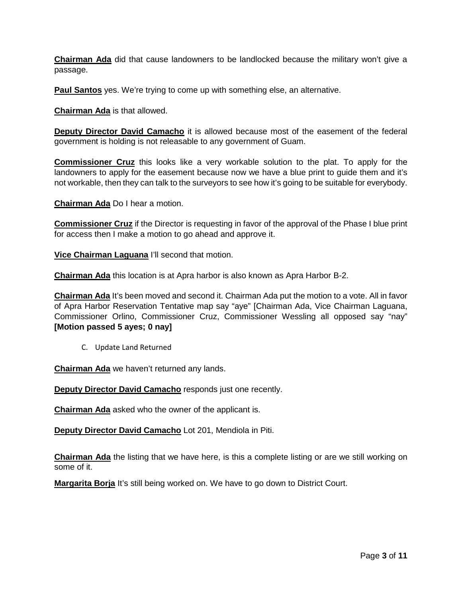**Chairman Ada** did that cause landowners to be landlocked because the military won't give a passage.

**Paul Santos** yes. We're trying to come up with something else, an alternative.

**Chairman Ada** is that allowed.

**Deputy Director David Camacho** it is allowed because most of the easement of the federal government is holding is not releasable to any government of Guam.

**Commissioner Cruz** this looks like a very workable solution to the plat. To apply for the landowners to apply for the easement because now we have a blue print to guide them and it's not workable, then they can talk to the surveyors to see how it's going to be suitable for everybody.

**Chairman Ada** Do I hear a motion.

**Commissioner Cruz** if the Director is requesting in favor of the approval of the Phase I blue print for access then I make a motion to go ahead and approve it.

**Vice Chairman Laguana** I'll second that motion.

**Chairman Ada** this location is at Apra harbor is also known as Apra Harbor B-2.

**Chairman Ada** It's been moved and second it. Chairman Ada put the motion to a vote. All in favor of Apra Harbor Reservation Tentative map say "aye" [Chairman Ada, Vice Chairman Laguana, Commissioner Orlino, Commissioner Cruz, Commissioner Wessling all opposed say "nay" **[Motion passed 5 ayes; 0 nay]**

C. Update Land Returned

**Chairman Ada** we haven't returned any lands.

**Deputy Director David Camacho** responds just one recently.

**Chairman Ada** asked who the owner of the applicant is.

**Deputy Director David Camacho** Lot 201, Mendiola in Piti.

**Chairman Ada** the listing that we have here, is this a complete listing or are we still working on some of it.

**Margarita Borja** It's still being worked on. We have to go down to District Court.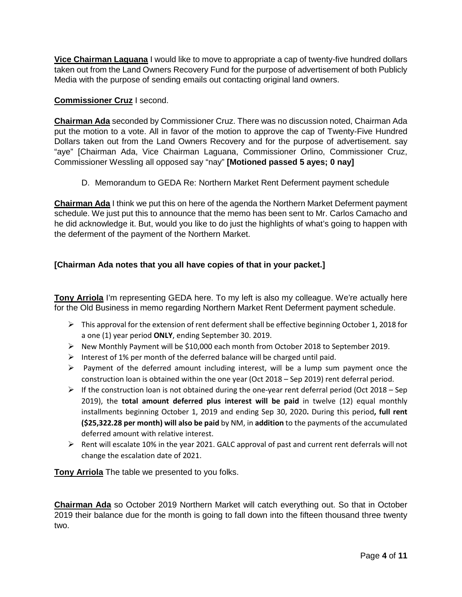**Vice Chairman Laguana** I would like to move to appropriate a cap of twenty-five hundred dollars taken out from the Land Owners Recovery Fund for the purpose of advertisement of both Publicly Media with the purpose of sending emails out contacting original land owners.

## **Commissioner Cruz** I second.

**Chairman Ada** seconded by Commissioner Cruz. There was no discussion noted, Chairman Ada put the motion to a vote. All in favor of the motion to approve the cap of Twenty-Five Hundred Dollars taken out from the Land Owners Recovery and for the purpose of advertisement. say "aye" [Chairman Ada, Vice Chairman Laguana, Commissioner Orlino, Commissioner Cruz, Commissioner Wessling all opposed say "nay" **[Motioned passed 5 ayes; 0 nay]**

D. Memorandum to GEDA Re: Northern Market Rent Deferment payment schedule

**Chairman Ada** I think we put this on here of the agenda the Northern Market Deferment payment schedule. We just put this to announce that the memo has been sent to Mr. Carlos Camacho and he did acknowledge it. But, would you like to do just the highlights of what's going to happen with the deferment of the payment of the Northern Market.

# **[Chairman Ada notes that you all have copies of that in your packet.]**

**Tony Arriola** I'm representing GEDA here. To my left is also my colleague. We're actually here for the Old Business in memo regarding Northern Market Rent Deferment payment schedule.

- $\triangleright$  This approval for the extension of rent deferment shall be effective beginning October 1, 2018 for a one (1) year period **ONLY**, ending September 30. 2019.
- $\triangleright$  New Monthly Payment will be \$10,000 each month from October 2018 to September 2019.
- Interest of 1% per month of the deferred balance will be charged until paid.
- $\triangleright$  Payment of the deferred amount including interest, will be a lump sum payment once the construction loan is obtained within the one year (Oct 2018 – Sep 2019) rent deferral period.
- $\triangleright$  If the construction loan is not obtained during the one-year rent deferral period (Oct 2018 Sep 2019), the **total amount deferred plus interest will be paid** in twelve (12) equal monthly installments beginning October 1, 2019 and ending Sep 30, 2020**.** During this period**, full rent (\$25,322.28 per month) will also be paid** by NM, in **addition** to the payments of the accumulated deferred amount with relative interest.
- $\triangleright$  Rent will escalate 10% in the year 2021. GALC approval of past and current rent deferrals will not change the escalation date of 2021.

**Tony Arriola** The table we presented to you folks.

**Chairman Ada** so October 2019 Northern Market will catch everything out. So that in October 2019 their balance due for the month is going to fall down into the fifteen thousand three twenty two.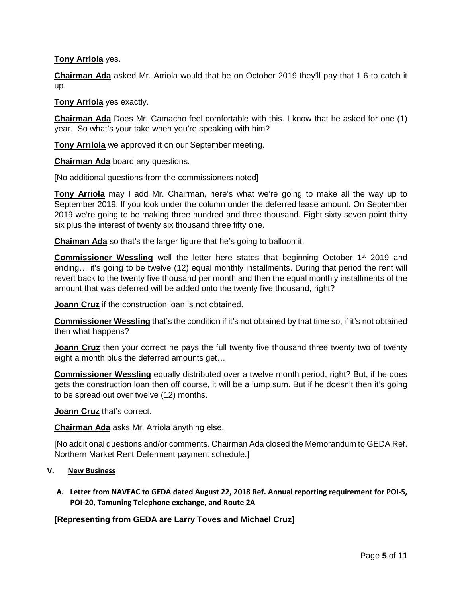## **Tony Arriola** yes.

**Chairman Ada** asked Mr. Arriola would that be on October 2019 they'll pay that 1.6 to catch it up.

**Tony Arriola** yes exactly.

**Chairman Ada** Does Mr. Camacho feel comfortable with this. I know that he asked for one (1) year. So what's your take when you're speaking with him?

**Tony Arrilola** we approved it on our September meeting.

**Chairman Ada** board any questions.

[No additional questions from the commissioners noted]

**Tony Arriola** may I add Mr. Chairman, here's what we're going to make all the way up to September 2019. If you look under the column under the deferred lease amount. On September 2019 we're going to be making three hundred and three thousand. Eight sixty seven point thirty six plus the interest of twenty six thousand three fifty one.

**Chaiman Ada** so that's the larger figure that he's going to balloon it.

**Commissioner Wessling** well the letter here states that beginning October 1<sup>st</sup> 2019 and ending… it's going to be twelve (12) equal monthly installments. During that period the rent will revert back to the twenty five thousand per month and then the equal monthly installments of the amount that was deferred will be added onto the twenty five thousand, right?

**Joann Cruz** if the construction loan is not obtained.

**Commissioner Wessling** that's the condition if it's not obtained by that time so, if it's not obtained then what happens?

**Joann Cruz** then your correct he pays the full twenty five thousand three twenty two of twenty eight a month plus the deferred amounts get…

**Commissioner Wessling** equally distributed over a twelve month period, right? But, if he does gets the construction loan then off course, it will be a lump sum. But if he doesn't then it's going to be spread out over twelve (12) months.

**Joann Cruz** that's correct.

**Chairman Ada** asks Mr. Arriola anything else.

[No additional questions and/or comments. Chairman Ada closed the Memorandum to GEDA Ref. Northern Market Rent Deferment payment schedule.]

#### **V. New Business**

**A. Letter from NAVFAC to GEDA dated August 22, 2018 Ref. Annual reporting requirement for POI-5, POI-20, Tamuning Telephone exchange, and Route 2A**

**[Representing from GEDA are Larry Toves and Michael Cruz]**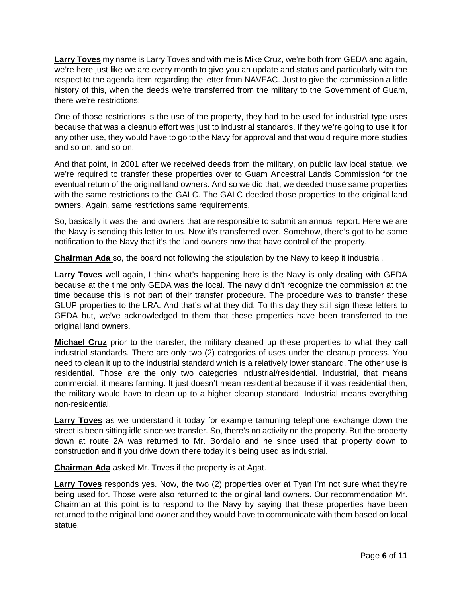**Larry Toves** my name is Larry Toves and with me is Mike Cruz, we're both from GEDA and again, we're here just like we are every month to give you an update and status and particularly with the respect to the agenda item regarding the letter from NAVFAC. Just to give the commission a little history of this, when the deeds we're transferred from the military to the Government of Guam, there we're restrictions:

One of those restrictions is the use of the property, they had to be used for industrial type uses because that was a cleanup effort was just to industrial standards. If they we're going to use it for any other use, they would have to go to the Navy for approval and that would require more studies and so on, and so on.

And that point, in 2001 after we received deeds from the military, on public law local statue, we we're required to transfer these properties over to Guam Ancestral Lands Commission for the eventual return of the original land owners. And so we did that, we deeded those same properties with the same restrictions to the GALC. The GALC deeded those properties to the original land owners. Again, same restrictions same requirements.

So, basically it was the land owners that are responsible to submit an annual report. Here we are the Navy is sending this letter to us. Now it's transferred over. Somehow, there's got to be some notification to the Navy that it's the land owners now that have control of the property.

**Chairman Ada** so, the board not following the stipulation by the Navy to keep it industrial.

**Larry Toves** well again, I think what's happening here is the Navy is only dealing with GEDA because at the time only GEDA was the local. The navy didn't recognize the commission at the time because this is not part of their transfer procedure. The procedure was to transfer these GLUP properties to the LRA. And that's what they did. To this day they still sign these letters to GEDA but, we've acknowledged to them that these properties have been transferred to the original land owners.

**Michael Cruz** prior to the transfer, the military cleaned up these properties to what they call industrial standards. There are only two (2) categories of uses under the cleanup process. You need to clean it up to the industrial standard which is a relatively lower standard. The other use is residential. Those are the only two categories industrial/residential. Industrial, that means commercial, it means farming. It just doesn't mean residential because if it was residential then, the military would have to clean up to a higher cleanup standard. Industrial means everything non-residential.

**Larry Toves** as we understand it today for example tamuning telephone exchange down the street is been sitting idle since we transfer. So, there's no activity on the property. But the property down at route 2A was returned to Mr. Bordallo and he since used that property down to construction and if you drive down there today it's being used as industrial.

**Chairman Ada** asked Mr. Toves if the property is at Agat.

**Larry Toves** responds yes. Now, the two (2) properties over at Tyan I'm not sure what they're being used for. Those were also returned to the original land owners. Our recommendation Mr. Chairman at this point is to respond to the Navy by saying that these properties have been returned to the original land owner and they would have to communicate with them based on local statue.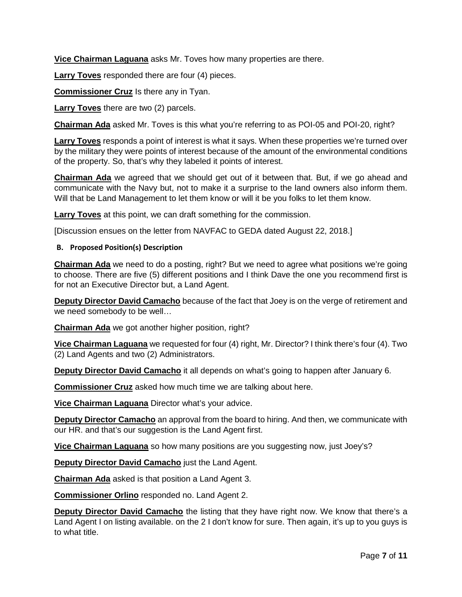**Vice Chairman Laguana** asks Mr. Toves how many properties are there.

**Larry Toves** responded there are four (4) pieces.

**Commissioner Cruz** Is there any in Tyan.

**Larry Toves** there are two (2) parcels.

**Chairman Ada** asked Mr. Toves is this what you're referring to as POI-05 and POI-20, right?

**Larry Toves** responds a point of interest is what it says. When these properties we're turned over by the military they were points of interest because of the amount of the environmental conditions of the property. So, that's why they labeled it points of interest.

**Chairman Ada** we agreed that we should get out of it between that. But, if we go ahead and communicate with the Navy but, not to make it a surprise to the land owners also inform them. Will that be Land Management to let them know or will it be you folks to let them know.

**Larry Toves** at this point, we can draft something for the commission.

[Discussion ensues on the letter from NAVFAC to GEDA dated August 22, 2018.]

#### **B. Proposed Position(s) Description**

**Chairman Ada** we need to do a posting, right? But we need to agree what positions we're going to choose. There are five (5) different positions and I think Dave the one you recommend first is for not an Executive Director but, a Land Agent.

**Deputy Director David Camacho** because of the fact that Joey is on the verge of retirement and we need somebody to be well…

**Chairman Ada** we got another higher position, right?

**Vice Chairman Laguana** we requested for four (4) right, Mr. Director? I think there's four (4). Two (2) Land Agents and two (2) Administrators.

**Deputy Director David Camacho** it all depends on what's going to happen after January 6.

**Commissioner Cruz** asked how much time we are talking about here.

**Vice Chairman Laguana** Director what's your advice.

**Deputy Director Camacho** an approval from the board to hiring. And then, we communicate with our HR. and that's our suggestion is the Land Agent first.

**Vice Chairman Laguana** so how many positions are you suggesting now, just Joey's?

**Deputy Director David Camacho** just the Land Agent.

**Chairman Ada** asked is that position a Land Agent 3.

**Commissioner Orlino** responded no. Land Agent 2.

**Deputy Director David Camacho** the listing that they have right now. We know that there's a Land Agent I on listing available. on the 2 I don't know for sure. Then again, it's up to you guys is to what title.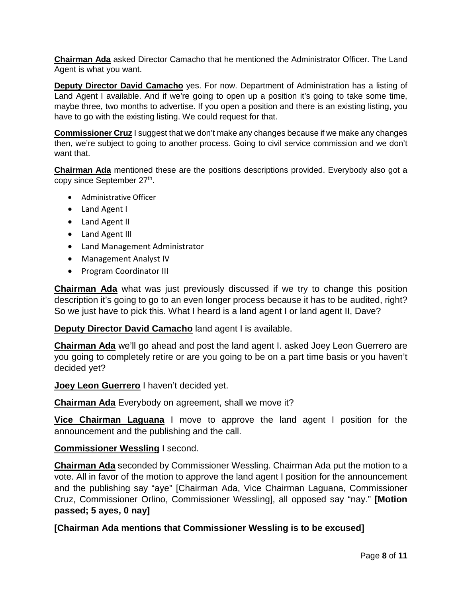**Chairman Ada** asked Director Camacho that he mentioned the Administrator Officer. The Land Agent is what you want.

**Deputy Director David Camacho** yes. For now. Department of Administration has a listing of Land Agent I available. And if we're going to open up a position it's going to take some time, maybe three, two months to advertise. If you open a position and there is an existing listing, you have to go with the existing listing. We could request for that.

**Commissioner Cruz** I suggest that we don't make any changes because if we make any changes then, we're subject to going to another process. Going to civil service commission and we don't want that.

**Chairman Ada** mentioned these are the positions descriptions provided. Everybody also got a copy since September 27<sup>th</sup>.

- Administrative Officer
- Land Agent I
- Land Agent II
- Land Agent III
- Land Management Administrator
- Management Analyst IV
- Program Coordinator III

**Chairman Ada** what was just previously discussed if we try to change this position description it's going to go to an even longer process because it has to be audited, right? So we just have to pick this. What I heard is a land agent I or land agent II, Dave?

**Deputy Director David Camacho** land agent I is available.

**Chairman Ada** we'll go ahead and post the land agent I. asked Joey Leon Guerrero are you going to completely retire or are you going to be on a part time basis or you haven't decided yet?

**Joey Leon Guerrero** I haven't decided yet.

**Chairman Ada** Everybody on agreement, shall we move it?

**Vice Chairman Laguana** I move to approve the land agent I position for the announcement and the publishing and the call.

## **Commissioner Wessling** I second.

**Chairman Ada** seconded by Commissioner Wessling. Chairman Ada put the motion to a vote. All in favor of the motion to approve the land agent I position for the announcement and the publishing say "aye" [Chairman Ada, Vice Chairman Laguana, Commissioner Cruz, Commissioner Orlino, Commissioner Wessling], all opposed say "nay." **[Motion passed; 5 ayes, 0 nay]**

**[Chairman Ada mentions that Commissioner Wessling is to be excused]**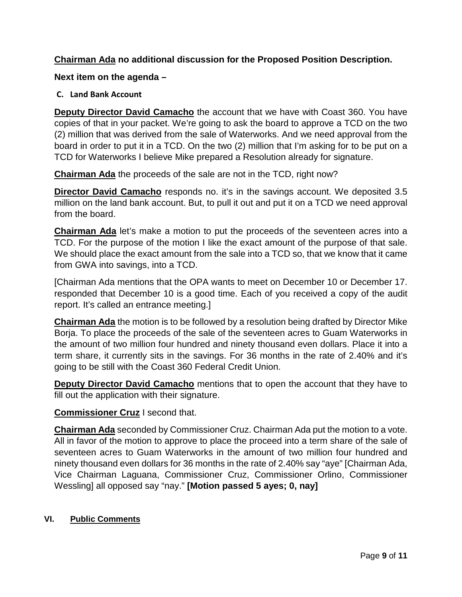# **Chairman Ada no additional discussion for the Proposed Position Description.**

## **Next item on the agenda –**

## **C. Land Bank Account**

**Deputy Director David Camacho** the account that we have with Coast 360. You have copies of that in your packet. We're going to ask the board to approve a TCD on the two (2) million that was derived from the sale of Waterworks. And we need approval from the board in order to put it in a TCD. On the two (2) million that I'm asking for to be put on a TCD for Waterworks I believe Mike prepared a Resolution already for signature.

**Chairman Ada** the proceeds of the sale are not in the TCD, right now?

**Director David Camacho** responds no. it's in the savings account. We deposited 3.5 million on the land bank account. But, to pull it out and put it on a TCD we need approval from the board.

**Chairman Ada** let's make a motion to put the proceeds of the seventeen acres into a TCD. For the purpose of the motion I like the exact amount of the purpose of that sale. We should place the exact amount from the sale into a TCD so, that we know that it came from GWA into savings, into a TCD.

[Chairman Ada mentions that the OPA wants to meet on December 10 or December 17. responded that December 10 is a good time. Each of you received a copy of the audit report. It's called an entrance meeting.]

**Chairman Ada** the motion is to be followed by a resolution being drafted by Director Mike Borja. To place the proceeds of the sale of the seventeen acres to Guam Waterworks in the amount of two million four hundred and ninety thousand even dollars. Place it into a term share, it currently sits in the savings. For 36 months in the rate of 2.40% and it's going to be still with the Coast 360 Federal Credit Union.

**Deputy Director David Camacho** mentions that to open the account that they have to fill out the application with their signature.

# **Commissioner Cruz** I second that.

**Chairman Ada** seconded by Commissioner Cruz. Chairman Ada put the motion to a vote. All in favor of the motion to approve to place the proceed into a term share of the sale of seventeen acres to Guam Waterworks in the amount of two million four hundred and ninety thousand even dollars for 36 months in the rate of 2.40% say "aye" [Chairman Ada, Vice Chairman Laguana, Commissioner Cruz, Commissioner Orlino, Commissioner Wessling] all opposed say "nay." **[Motion passed 5 ayes; 0, nay]**

# **VI. Public Comments**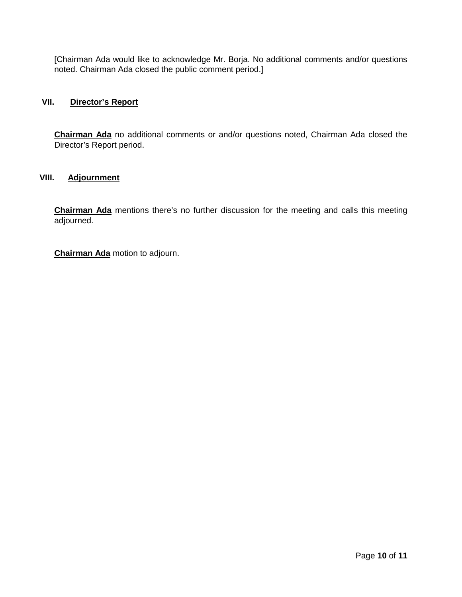[Chairman Ada would like to acknowledge Mr. Borja. No additional comments and/or questions noted. Chairman Ada closed the public comment period.]

## **VII. Director's Report**

**Chairman Ada** no additional comments or and/or questions noted, Chairman Ada closed the Director's Report period.

### **VIII. Adjournment**

**Chairman Ada** mentions there's no further discussion for the meeting and calls this meeting adjourned.

**Chairman Ada** motion to adjourn.